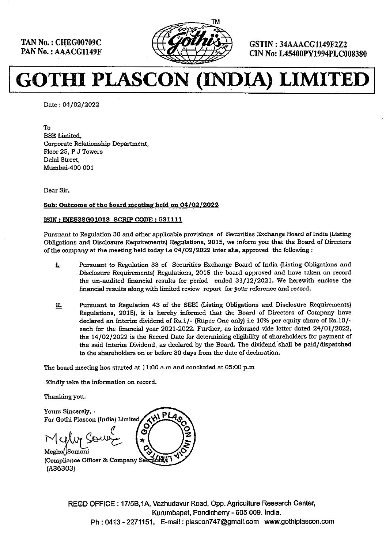----



TAN No.: CHEG00709C  $\left(\left(\left(\left(\left(\frac{1}{2}\right)\right)^{2} \left(\left(\left(\frac{1}{2}\right)\right)\right)\right)$  GSTIN : 34AAACG1149F2Z2 CIN No. LAAACG1149F2Z2

۹

# GOTHI PLASCON (INDIA) LIMITED

Date : 04/02/2022

To BSE Limited, Corporate Relationship Department, Floor 25, P J Towers Dalal Street, Mumbai-400 001

Dear Sir,

#### Sub: Outcome of the board meeting held on 04/02/2022

#### ISIN: INES38G01018 SCRIP CODE : 531111

Pursuant to Regulation 30 and other applicable provisions of Securities Exchange Board of India (Listing Obligations and Disclosure Requirements) Regulations, 2015, we inform you that the Board of Directors of the company at the meeting held today i.e 04/02/2022 inter alia, approved the following:

- **i.** Pursuant to Regulation 33 of Securities Exchange Board of India (Listing Obligations and Disclosure Requirements) Regulations, 2015 the board approved and have taken on record the un-audited financial results for period ended 31/12/2021. We herewith enclose the financial results along with limited review report for your reference and record.
- i. Pursuant to Regulation 43 of the SEBI (Listing Obligations and Disclosure Requirements) Regulations, 2015), it is hereby informed that the Board of Directors of Company have declared an Interim dividend of Rs.1/- (Rupee One only) i.e 10% per equity share of Rs.10/ each for the financial year 2021-2022. Further, as informed vide letter dated 24/01/2022, the 14/02/2022 is the Record Date for determining eligibility of shareholders for payment of the said Interim Dividend, as declared by the Board. The dividend shall be paid/dispatched to the shareholders on or before 30 days from the date of declaration.

The board meeting has started at 11:00 a.m and concluded at 05:00 p.m

Kindly take the information on record.

Thanking you.

Yours Sincerely, . For Gothi Plascon (India) Limited, Megly Sour' (x) Megha(Somani (Compliance Officer & Company Seeretaly) (436303)  $AB$  PLA  $\circ$  $\frac{3}{2}$  $\bar{\mathcal{E}}$ Ġ

Vazhudavur |<br>Kurumbapet,<br>1, E-mail : pla REGD OFFICE : 17/5B,1A, Vazhudavur Road, Opp. Agriculture Research Center, Kurumbapet, Pondicherry - 605 009. India. Ph : 0413 - 2271151, E-mail: plascon747@gmail.com www.gothiplascon.com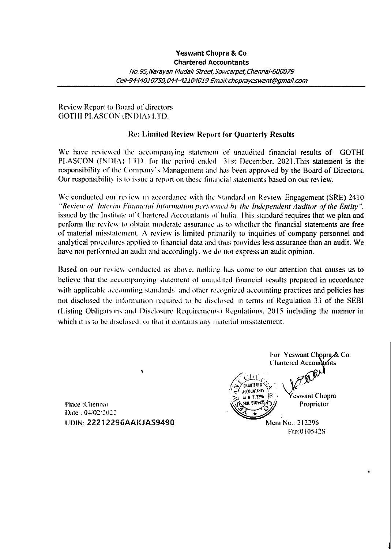## Review Report to Board of directors GOTHI PLASCON (INDIA) LTD.

## Re: Limited Review Report for Quarterly Results

We have reviewed the accompanying statement of unaudited financial results of GOTHI PLASCON (INDIA) I TD. for the period ended 31st December, 2021. This statement is the responsibility of the Company's Management and has been approved by the Board of Directors. Our responsibility is to issue a report on these faancial statements based on our review.

We conducted our review in accordance with the Standard on Review Engagement (SRE) 2410 "Review of Interim Financial Information performed by the Independent Auditor of the Entity", issued by the Institute of Chartered Accountants of India. This standard requires that we plan and perform the review to obtain moderate assurance as to whether the financial statements are free of material misstatement. A review is limited primarily to inquiries of company personnel and analytical procedures applied to financial data and thus provides less assurance than an audit. We have not performed an audit and accordingly, we do not express an audit opinion.

Based on our review conducted as above. nothing has come to our attention that causes us to believe that the accompanying statement of unaudited financial results prepared in accordance with applicable accounting standards and other recognized accounting practices and policies has not disclosed the information required to be disclosed in terms of Regulation 33 of the SEBI (Listing Obligations and Disclosure Requirements) Regulations, 2015 including the manner in which it is to be disclosed, or that it contains any material misstatement.

Place :Chennai FRH. world and Transform  $\log_{2}(\gamma)$  Proprietor  $Date: 04/02/2022$ UDIN: 22212296AAKJAS9490 Mem No.: 212296

\*

For Yeswant Chopra & Co. **Chartered Accountants**  $\mathbb{Z}$  is  $\mathbb{Z}$  $\frac{M(0)W(AB)H(5)}{M(H-2)12296}$   $\sum_{\text{H(H)} \text{D105475}}$   $\sum_{\text{H(H)}}$  Proprietor Frn:0 105428

ľ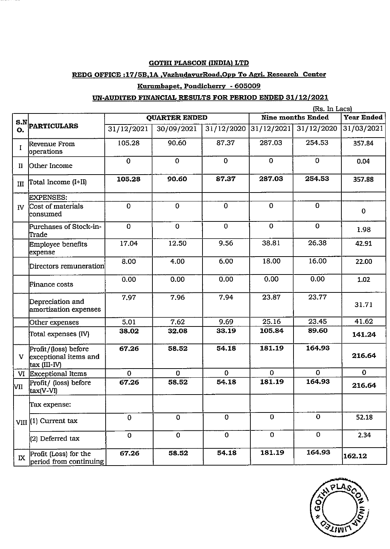### GOTHI PLASCON (INDIA) LTD

#### REDG OFFICE :17/5B,1A ,VazhudavurRoad,Opp To Agri. Research Center

## Kurumbapet, Pondicherry - 605009

#### UN-AUDITED FINANCIAL RESULTS FOR PERIOD ENDED 31/12/2021

|                |                                                                           |                         | <b>GOTHI PLASCON (INDIA) LTD</b><br>REDG OFFICE : 17/5B,1A, VazhudavurRoad, Opp To Agri. Research Center |                       |                          |                                 |                       |
|----------------|---------------------------------------------------------------------------|-------------------------|----------------------------------------------------------------------------------------------------------|-----------------------|--------------------------|---------------------------------|-----------------------|
|                |                                                                           |                         | Kurumbapet, Pondicherry - 605009                                                                         |                       |                          |                                 |                       |
|                |                                                                           |                         | UN-AUDITED FINANCIAL RESULTS FOR PERIOD ENDED 31/12/2021                                                 |                       |                          | (Rs. In Lacs)                   |                       |
|                | $\begin{array}{c}\n\textbf{S.N} \big  \textbf{PARTICULARS} \n\end{array}$ |                         | QUARTER ENDED                                                                                            |                       |                          | Nine months Ended               | <b>Year Ended</b>     |
|                | Revenue From                                                              | 31/12/2021<br>105.28    | 30/09/2021<br>90.60                                                                                      | 31/12/2020<br>87.37   | 287.03                   | 31/12/2021 31/12/2020<br>254.53 | 31/03/2021            |
| I              | operations                                                                |                         |                                                                                                          |                       |                          |                                 |                       |
| $\mathbf{I}$   | Other Income                                                              |                         |                                                                                                          |                       |                          |                                 | 357.84                |
|                |                                                                           | $\mathbf 0$             | $\mathbf 0$                                                                                              | $\mathbf 0$           | $\mathbf 0$              | $\mathbf 0$                     | 0.04                  |
| III            | Total Income (I+II)                                                       | 105.28                  | 90.60                                                                                                    | 87.37                 | 287.03                   | 254.53                          | 357.88                |
| $\overline{N}$ | <b>EXPENSES:</b><br>Cost of materials<br>consumed                         | $\mathbf 0$             | $\mathbf 0$                                                                                              | $\mathbf 0$           | $\mathbf 0$              | $\mathbf{O}$                    | $\bf{0}$              |
|                | Purchases of Stock-in-                                                    | $\bf{0}$                | $\mathbf 0$                                                                                              | $\mathbf 0$           | $\mathbf 0$              | $\mathbf 0$                     | 1.98                  |
|                | Trade<br>Employee benefits                                                | 17.04                   | 12.50                                                                                                    | 9.56                  | 38.81                    | 26.38                           | 42.91                 |
|                | expense<br>Directors remuneration                                         | 8.00                    | 4.00                                                                                                     | 6.00                  | 18.00                    | 16.00                           | 22.00                 |
|                | Finance costs                                                             | 0.00                    | 0.00                                                                                                     | 0.00                  | 0.00                     | 0.00                            | 1.02                  |
|                | Depreciation and<br>amortization expenses                                 | 7.97                    | 7.96                                                                                                     | 7.94                  | 23.87                    | 23.77                           | 31.71                 |
|                | Other expenses                                                            | 5.01<br>38.02           | 7.62<br>32.08                                                                                            | 9.69<br>33.19         | 25.16<br>105.84          | 23.45<br>89.60                  | 41.62                 |
|                | Total expenses (IV)                                                       | 67.26                   | 58.52                                                                                                    | 54.18                 | 181.19                   | 164.93                          | 141.24                |
| $\mathbf{V}$   | Profit/(loss) before<br>exceptional items and<br>tax (III-IV)             |                         |                                                                                                          |                       |                          |                                 | 216.64                |
| l∨II           | VI Exceptional Items<br>Profit/ (loss) before                             | $\overline{0}$<br>67.26 | $\mathbf{O}$<br>58.52                                                                                    | $\mathbf{0}$<br>54.18 | $\overline{O}$<br>181.19 | $\mathbf{O}$<br>164.93          | $\mathbf 0$<br>216.64 |
|                | tax(V-VI)<br>Tax expense:                                                 |                         |                                                                                                          |                       |                          |                                 |                       |
|                | VIII (1) Current tax                                                      | $\overline{0}$          | $\overline{O}$                                                                                           | $\mathbf{0}$          | $\mathbf 0$              | $\overline{0}$                  | 52.18                 |
|                | (2) Deferred tax                                                          | $\mathbf{O}$            | $\mathbf 0$                                                                                              | $\overline{0}$        | $\overline{O}$           | $\mathbf{O}$                    | 2.34                  |

![](_page_2_Picture_5.jpeg)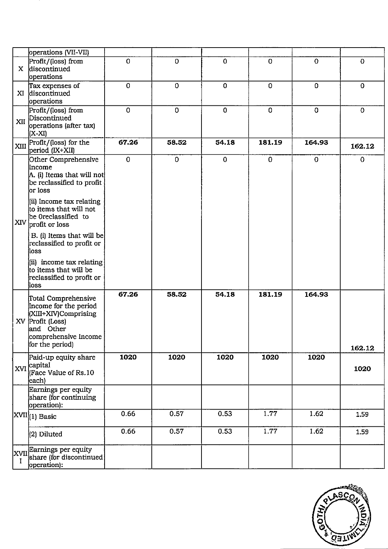| operations (VII-VII)<br>Profit/(loss) from                                                                      | $\mathbf{O}$ | $\mathbf 0$ | $\overline{O}$ | $\mathbf 0$  | $\mathbf 0$  | $\bf{0}$    |
|-----------------------------------------------------------------------------------------------------------------|--------------|-------------|----------------|--------------|--------------|-------------|
| X discontinued<br>operations                                                                                    |              |             |                |              |              |             |
| Tax expenses of<br>XI discontinued<br>operations                                                                | $\mathbf 0$  | $\mathbf 0$ | 0              | $\mathbf 0$  | $\mathbf 0$  | $\bf{0}$    |
| Profit/(loss) from<br>XII Discontinued<br>operations (after tax)<br>(X-XI)                                      | $\mathbf 0$  | $\mathbf 0$ | $\mathbf 0$    | $\Omega$     | $\mathbf 0$  | $\mathbf 0$ |
| XIII Profit/(loss) for the<br>period (IX+XII)                                                                   | 67.26        | 58.52       | 54.18          | 181.19       | 164.93       | 162.12      |
| Other Comprehensive<br>Income<br>A. (i) Items that will not<br>be reclassified to profit<br>or Ioss             | $\mathbf 0$  | $\mathbf 0$ | $\mathbf 0$    | $\mathbf{O}$ | $\mathbf{O}$ | $\mathbf 0$ |
| (ii) Income tax relating<br>to items that will not<br>be Oreclassified to<br>XIV profit or loss                 |              |             |                |              |              |             |
| B. (i) Items that will be<br>reclassified to profit or<br>Íloss                                                 |              |             |                |              |              |             |
| $\left  \text{(ii)} \right $ income tax relating<br>to items that will be<br>reclassified to profit or<br>ioss) |              |             |                |              |              |             |
| Total Comprehensive<br>Income for the period<br>(XIII+XIV)Comprising<br>XV Profit (Loss)<br>and Other           | 67.26        | 58.52       | 54.18          | 181.19       | 164.93       |             |
| comprehensive Income<br>for the period)                                                                         |              |             |                |              |              | 162.12      |
| Paid-up equity share<br>$XVI$ capital<br>(Face Value of Rs.10)<br>each)                                         | 1020         | 1020        | 1020           | 1020         | 1020         | 1020        |
| Earnings per equity<br>share (for continuing<br>operation):                                                     |              |             |                |              |              |             |
| $ XVII _{(1)}$ Basic                                                                                            | 0.66         | 0.57        | 0.53           | 1.77         | 1.62         | 1.59        |
| (2) Diluted                                                                                                     | 0.66         | 0.57        | 0.53           | 1.77         | 1.62         | 1.59        |
| XVII Earnings per equity<br>share (for discontinued)                                                            |              |             |                |              |              |             |

![](_page_3_Picture_1.jpeg)